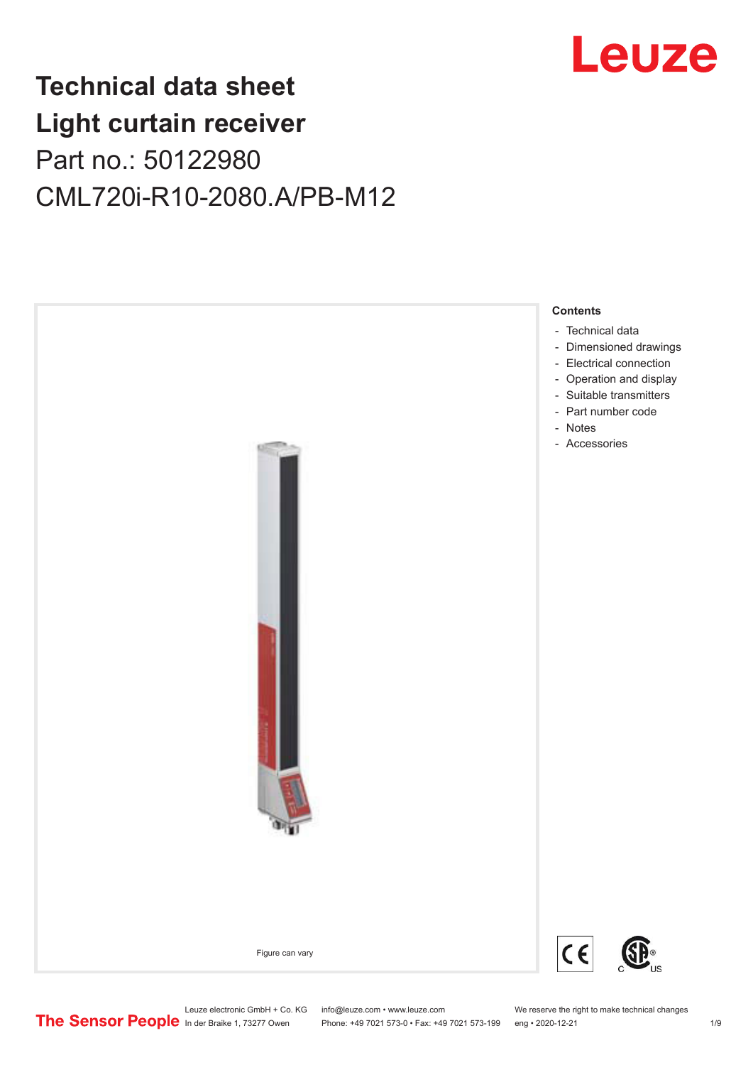

## **Technical data sheet Light curtain receiver** Part no.: 50122980 CML720i-R10-2080.A/PB-M12



Phone: +49 7021 573-0 • Fax: +49 7021 573-199 eng • 2020-12-21 1 2020-12-21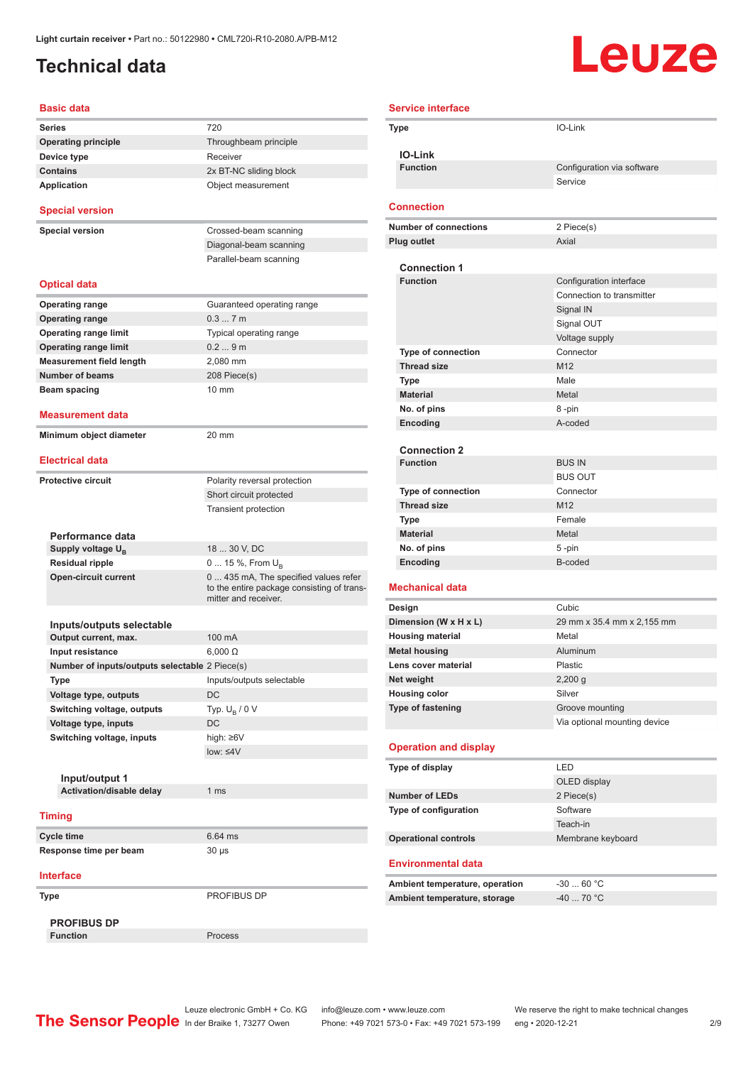### <span id="page-1-0"></span>**Technical data**

# Leuze

| <b>Basic data</b>                                |                                                                    |
|--------------------------------------------------|--------------------------------------------------------------------|
| Series                                           | 720                                                                |
| <b>Operating principle</b>                       | Throughbeam principle                                              |
| Device type                                      | Receiver                                                           |
| <b>Contains</b>                                  | 2x BT-NC sliding block                                             |
| <b>Application</b>                               | Object measurement                                                 |
| <b>Special version</b>                           |                                                                    |
| <b>Special version</b>                           | Crossed-beam scanning                                              |
|                                                  | Diagonal-beam scanning                                             |
|                                                  | Parallel-beam scanning                                             |
| <b>Optical data</b>                              |                                                                    |
| <b>Operating range</b>                           | Guaranteed operating range                                         |
| <b>Operating range</b>                           | 0.37m                                                              |
| <b>Operating range limit</b>                     | Typical operating range                                            |
| <b>Operating range limit</b>                     | 0.29m                                                              |
| <b>Measurement field length</b>                  | 2,080 mm                                                           |
| <b>Number of beams</b>                           | 208 Piece(s)                                                       |
| Beam spacing                                     | 10 mm                                                              |
|                                                  |                                                                    |
| Measurement data                                 |                                                                    |
| Minimum object diameter                          | $20 \text{ mm}$                                                    |
| <b>Electrical data</b>                           |                                                                    |
| <b>Protective circuit</b>                        | Polarity reversal protection                                       |
|                                                  | Short circuit protected                                            |
|                                                  | <b>Transient protection</b>                                        |
|                                                  |                                                                    |
| Performance data                                 | 18  30 V, DC                                                       |
| Supply voltage $U_{B}$<br><b>Residual ripple</b> |                                                                    |
| <b>Open-circuit current</b>                      | 0  15 %, From $U_{\rm B}$<br>0  435 mA, The specified values refer |
|                                                  | to the entire package consisting of trans-<br>mitter and receiver. |
|                                                  |                                                                    |
| Inputs/outputs selectable                        |                                                                    |
| Output current, max.                             | 100 mA                                                             |
| Input resistance                                 | $6,000 \Omega$                                                     |
| Number of inputs/outputs selectable 2 Piece(s)   |                                                                    |
| Type                                             | Inputs/outputs selectable                                          |
| Voltage type, outputs                            | DC                                                                 |
| Switching voltage, outputs                       | Typ. $U_B / 0 V$                                                   |
| Voltage type, inputs                             | DC                                                                 |
| Switching voltage, inputs                        | high: ≥6V                                                          |
|                                                  | $low: 4V$                                                          |
|                                                  |                                                                    |
| Input/output 1<br>Activation/disable delay       | 1 ms                                                               |
|                                                  |                                                                    |
| <b>Timing</b>                                    |                                                                    |
| Cycle time                                       | 6.64 ms                                                            |
| Response time per beam                           | 30 µs                                                              |
| <b>Interface</b>                                 |                                                                    |
| Type                                             | PROFIBUS DP                                                        |
| <b>PROFIBUS DP</b>                               |                                                                    |
| <b>Function</b>                                  | Process                                                            |

| <b>Service interface</b>                        |                                       |
|-------------------------------------------------|---------------------------------------|
| Type                                            | IO-Link                               |
|                                                 |                                       |
| <b>IO-Link</b><br><b>Function</b>               |                                       |
|                                                 | Configuration via software<br>Service |
|                                                 |                                       |
| <b>Connection</b>                               |                                       |
| <b>Number of connections</b>                    | 2 Piece(s)                            |
| <b>Plug outlet</b>                              | Axial                                 |
|                                                 |                                       |
| <b>Connection 1</b>                             |                                       |
| <b>Function</b>                                 | Configuration interface               |
|                                                 | Connection to transmitter             |
|                                                 | Signal IN<br>Signal OUT               |
|                                                 | Voltage supply                        |
| <b>Type of connection</b>                       | Connector                             |
| <b>Thread size</b>                              | M <sub>12</sub>                       |
| Type                                            | Male                                  |
| <b>Material</b>                                 | Metal                                 |
| No. of pins                                     | 8-pin                                 |
| Encoding                                        | A-coded                               |
|                                                 |                                       |
| <b>Connection 2</b>                             |                                       |
| <b>Function</b>                                 | <b>BUS IN</b>                         |
|                                                 | <b>BUS OUT</b>                        |
| <b>Type of connection</b><br><b>Thread size</b> | Connector<br>M <sub>12</sub>          |
| Type                                            | Female                                |
| <b>Material</b>                                 | Metal                                 |
| No. of pins                                     | 5-pin                                 |
| Encoding                                        | B-coded                               |
|                                                 |                                       |
| <b>Mechanical data</b>                          |                                       |
| Design                                          | Cubic                                 |
| Dimension (W x H x L)                           | 29 mm x 35.4 mm x 2,155 mm            |
| <b>Housing material</b>                         | Metal                                 |
| <b>Metal housing</b><br>Lens cover material     | Aluminum<br>Plastic                   |
| Net weight                                      | $2,200$ g                             |
| <b>Housing color</b>                            | Silver                                |
| Type of fastening                               | Groove mounting                       |
|                                                 | Via optional mounting device          |
|                                                 |                                       |
| <b>Operation and display</b>                    |                                       |
| Type of display                                 | LED                                   |
|                                                 | OLED display                          |
| <b>Number of LEDs</b>                           | 2 Piece(s)                            |
| Type of configuration                           | Software                              |
|                                                 | Teach-in                              |
| <b>Operational controls</b>                     | Membrane keyboard                     |
| <b>Environmental data</b>                       |                                       |

| Ambient temperature, operation | -30  60 °C |
|--------------------------------|------------|
| Ambient temperature, storage   | -40  70 °C |

Leuze electronic GmbH + Co. KG info@leuze.com • www.leuze.com We reserve the right to make technical changes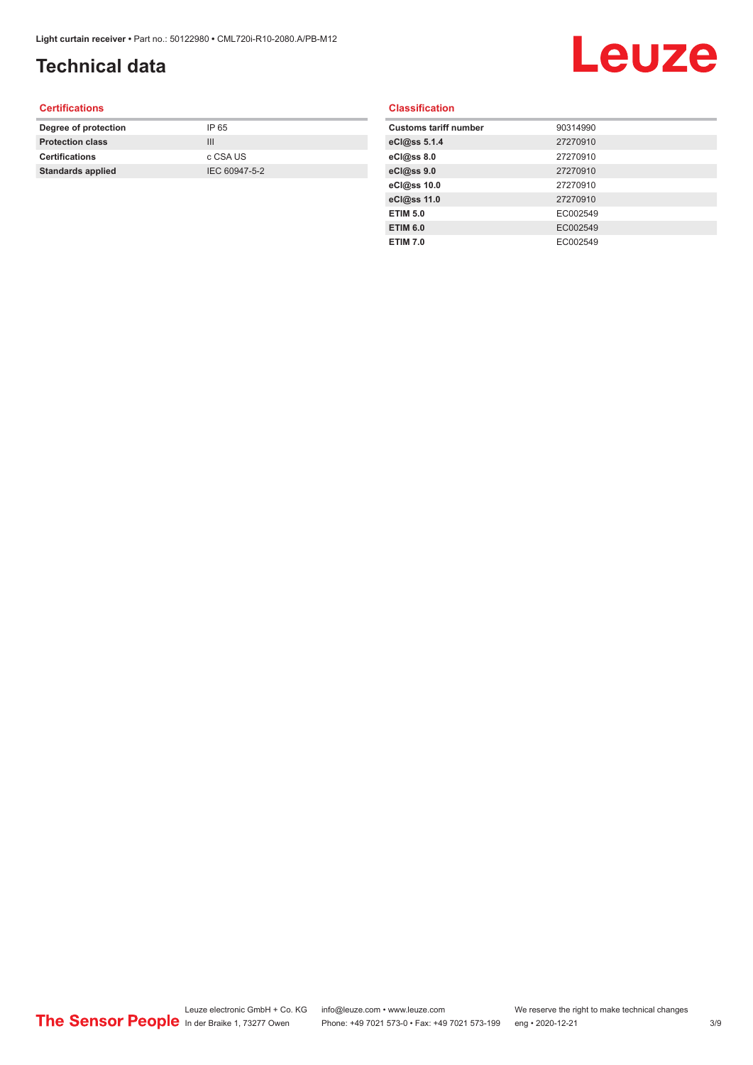## **Technical data**

# Leuze

#### **Certifications**

| Degree of protection     | IP 65         |
|--------------------------|---------------|
| <b>Protection class</b>  | Ш             |
| <b>Certifications</b>    | c CSA US      |
| <b>Standards applied</b> | IEC 60947-5-2 |
|                          |               |

#### **Classification**

| <b>Customs tariff number</b> | 90314990 |
|------------------------------|----------|
| eCl@ss 5.1.4                 | 27270910 |
| eCl@ss 8.0                   | 27270910 |
| eCl@ss 9.0                   | 27270910 |
| eCl@ss 10.0                  | 27270910 |
| eCl@ss 11.0                  | 27270910 |
| <b>ETIM 5.0</b>              | EC002549 |
| <b>ETIM 6.0</b>              | EC002549 |
| <b>ETIM 7.0</b>              | EC002549 |
|                              |          |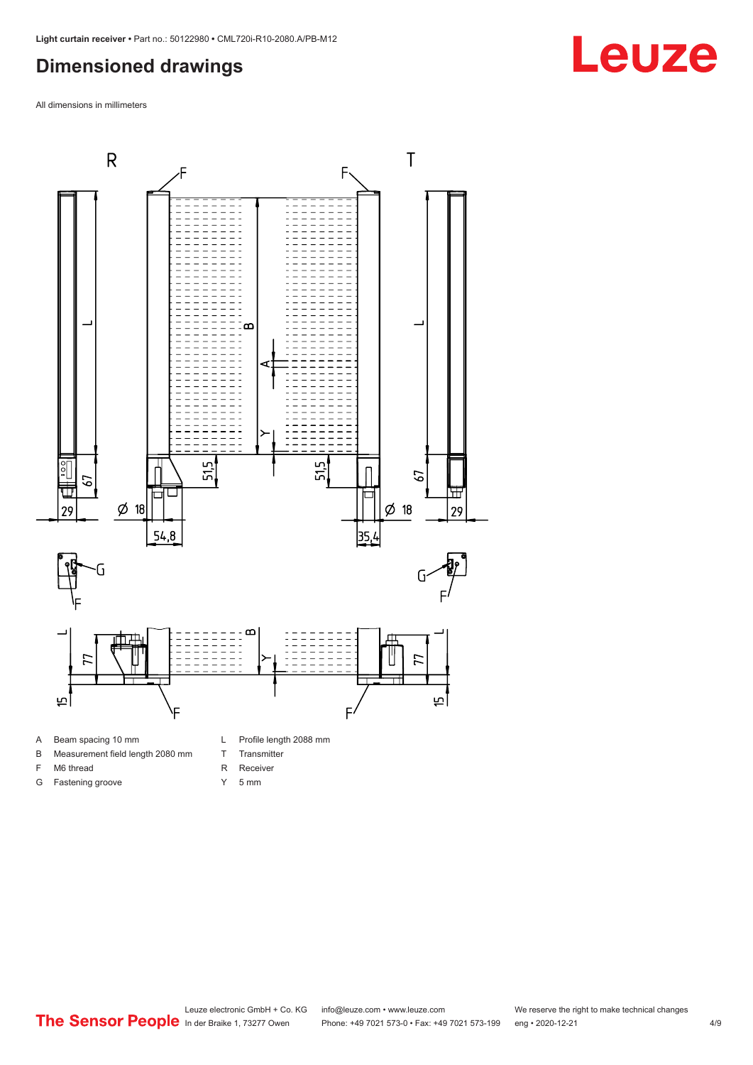#### <span id="page-3-0"></span>**Dimensioned drawings**

All dimensions in millimeters



- 
- B Measurement field length 2080 mm
- F M6 thread
- G Fastening groove
- 
- T Transmitter
- R Receiver
- Y 5 mm

**Leuze**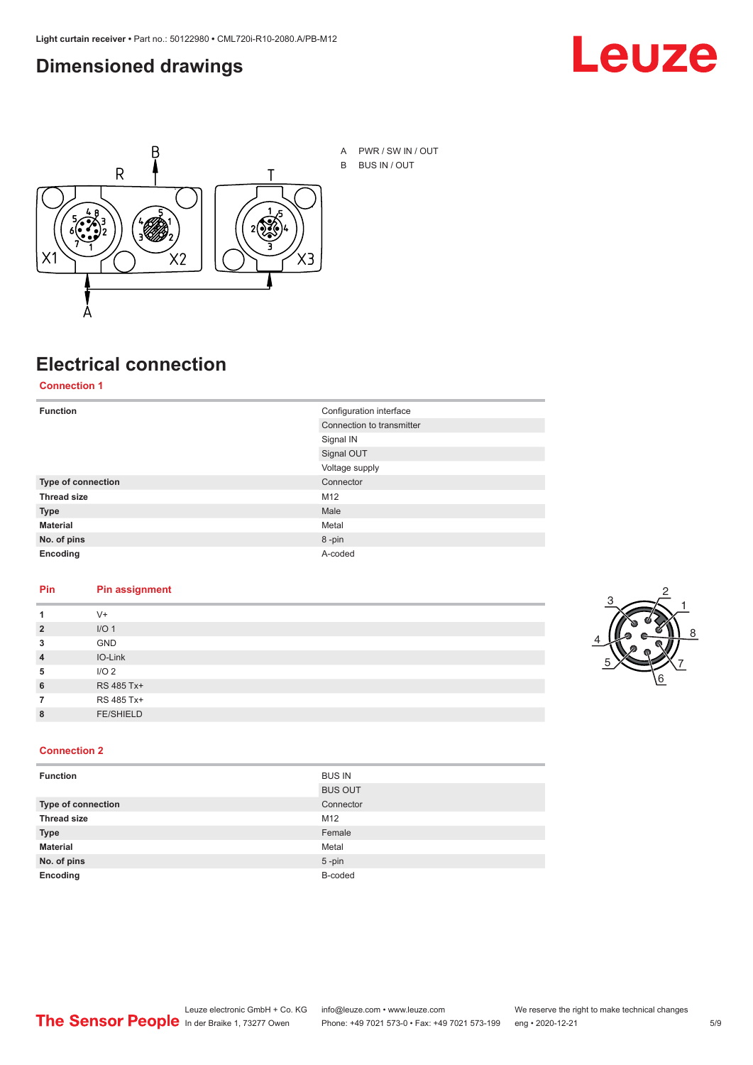#### <span id="page-4-0"></span>**Dimensioned drawings**





### **Electrical connection**

**Connection 1**

| <b>Function</b>    | Configuration interface   |
|--------------------|---------------------------|
|                    | Connection to transmitter |
|                    | Signal IN                 |
|                    | Signal OUT                |
|                    | Voltage supply            |
| Type of connection | Connector                 |
| <b>Thread size</b> | M12                       |
| <b>Type</b>        | Male                      |
| <b>Material</b>    | Metal                     |
| No. of pins        | 8-pin                     |
| Encoding           | A-coded                   |

#### **Pin Pin assignment**

| 1              | $V +$            |  |  |
|----------------|------------------|--|--|
| $\overline{2}$ | I/O <sub>1</sub> |  |  |
| 3              | <b>GND</b>       |  |  |
| $\overline{4}$ | IO-Link          |  |  |
| 5              | I/O <sub>2</sub> |  |  |
| 6              | RS 485 Tx+       |  |  |
| 7              | RS 485 Tx+       |  |  |
| 8              | <b>FE/SHIELD</b> |  |  |
|                |                  |  |  |



#### **Connection 2**

| <b>Function</b>    | <b>BUS IN</b>  |
|--------------------|----------------|
|                    | <b>BUS OUT</b> |
| Type of connection | Connector      |
| <b>Thread size</b> | M12            |
| <b>Type</b>        | Female         |
| <b>Material</b>    | Metal          |
| No. of pins        | $5$ -pin       |
| Encoding           | B-coded        |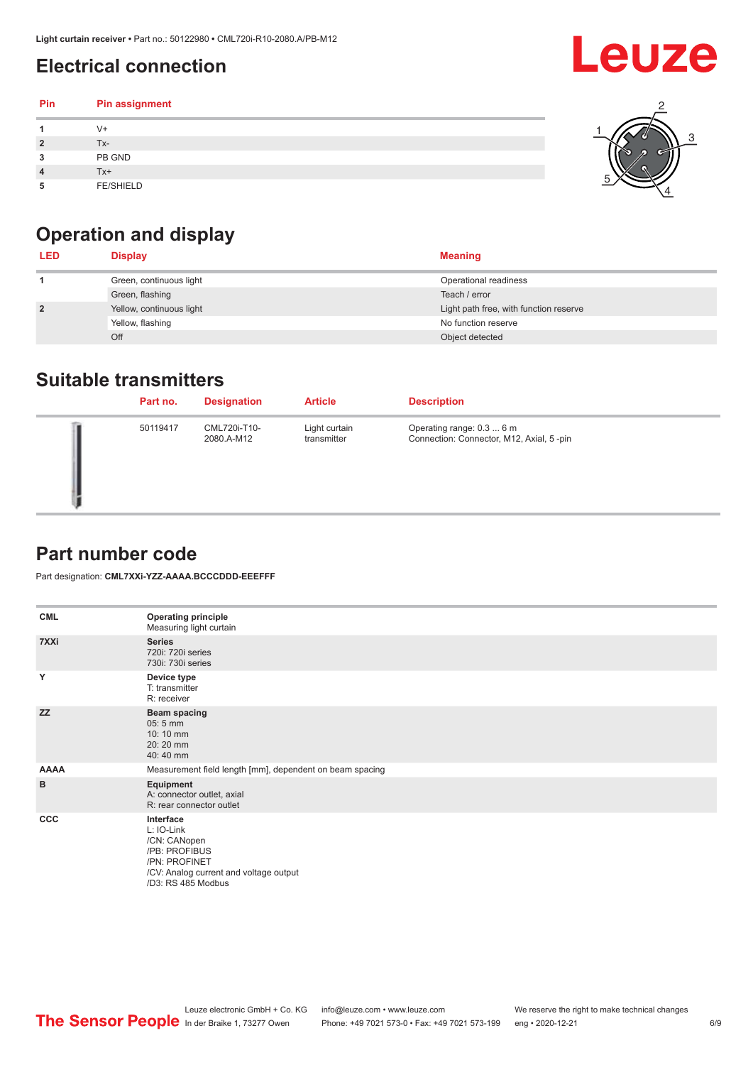### <span id="page-5-0"></span>**Electrical connection**

#### **Pin Pin assignment 1** V+ **2** Tx-**3** PB GND **4** Tx+ **5** FE/SHIELD 3 2 1 5 4

## **Operation and display**

| <b>LED</b>     | <b>Display</b>           | <b>Meaning</b>                         |
|----------------|--------------------------|----------------------------------------|
|                | Green, continuous light  | Operational readiness                  |
|                | Green, flashing          | Teach / error                          |
| $\overline{2}$ | Yellow, continuous light | Light path free, with function reserve |
|                | Yellow, flashing         | No function reserve                    |
|                | Off                      | Object detected                        |

#### **Suitable transmitters**

| Part no. | <b>Designation</b>         | <b>Article</b>               | <b>Description</b>                                                     |
|----------|----------------------------|------------------------------|------------------------------------------------------------------------|
| 50119417 | CML720i-T10-<br>2080.A-M12 | Light curtain<br>transmitter | Operating range: 0.3  6 m<br>Connection: Connector, M12, Axial, 5 -pin |

### **Part number code**

Part designation: **CML7XXi-YZZ-AAAA.BCCCDDD-EEEFFF**

| <b>CML</b>  | <b>Operating principle</b><br>Measuring light curtain                                                                                     |
|-------------|-------------------------------------------------------------------------------------------------------------------------------------------|
| 7XXi        | <b>Series</b><br>720i: 720i series<br>730i: 730i series                                                                                   |
| Y           | Device type<br>T: transmitter<br>R: receiver                                                                                              |
| <b>ZZ</b>   | <b>Beam spacing</b><br>$05:5$ mm<br>10:10 mm<br>20:20 mm<br>40:40 mm                                                                      |
| <b>AAAA</b> | Measurement field length [mm], dependent on beam spacing                                                                                  |
| B           | Equipment<br>A: connector outlet, axial<br>R: rear connector outlet                                                                       |
| <b>CCC</b>  | Interface<br>L: IO-Link<br>/CN: CANopen<br>/PB: PROFIBUS<br>/PN: PROFINET<br>/CV: Analog current and voltage output<br>/D3: RS 485 Modbus |

**Leuze**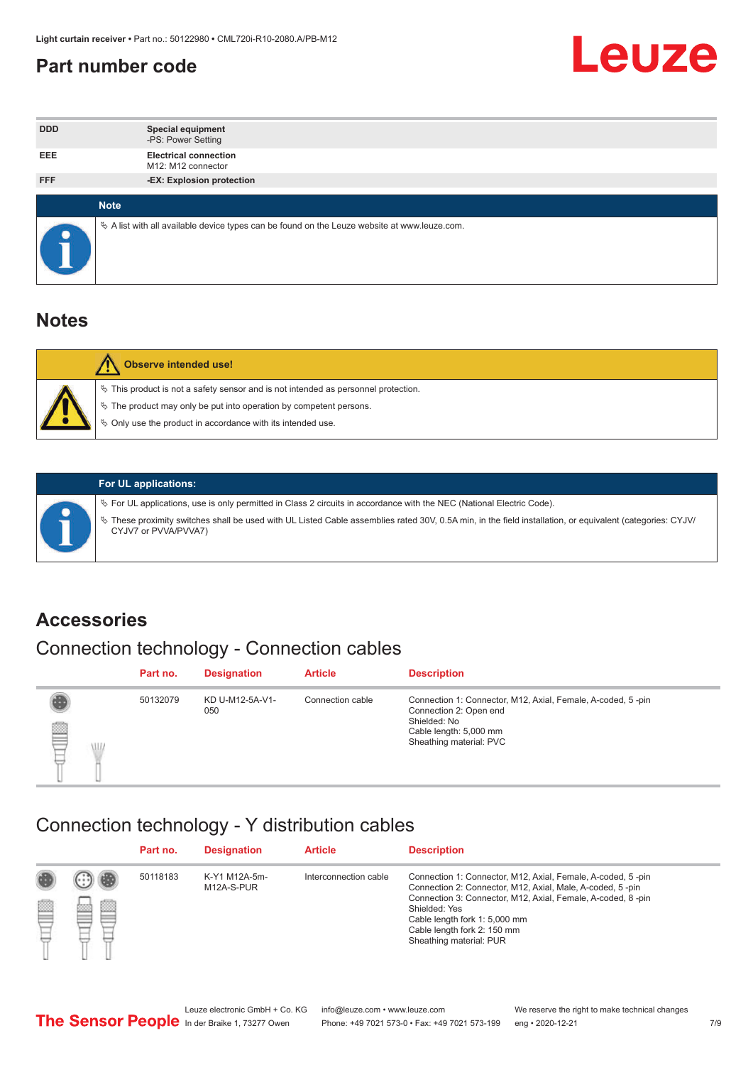#### <span id="page-6-0"></span>**Part number code**



| <b>DDD</b> | <b>Special equipment</b><br>-PS: Power Setting                                                  |
|------------|-------------------------------------------------------------------------------------------------|
| <b>EEE</b> | <b>Electrical connection</b><br>M12: M12 connector                                              |
| <b>FFF</b> | -EX: Explosion protection                                                                       |
|            |                                                                                                 |
|            | <b>Note</b>                                                                                     |
|            | $\&$ A list with all available device types can be found on the Leuze website at www.leuze.com. |

#### **Notes**

| Observe intended use!                                                                                                                                                                                                            |
|----------------------------------------------------------------------------------------------------------------------------------------------------------------------------------------------------------------------------------|
| $\%$ This product is not a safety sensor and is not intended as personnel protection.<br>$\%$ The product may only be put into operation by competent persons.<br>$\%$ Only use the product in accordance with its intended use. |
|                                                                                                                                                                                                                                  |



#### **For UL applications:**

ª For UL applications, use is only permitted in Class 2 circuits in accordance with the NEC (National Electric Code). ª These proximity switches shall be used with UL Listed Cable assemblies rated 30V, 0.5A min, in the field installation, or equivalent (categories: CYJV/ CYJV7 or PVVA/PVVA7)

#### **Accessories**

### Connection technology - Connection cables

|        | Part no. | <b>Designation</b>     | <b>Article</b>   | <b>Description</b>                                                                                                                                         |
|--------|----------|------------------------|------------------|------------------------------------------------------------------------------------------------------------------------------------------------------------|
| 2<br>W | 50132079 | KD U-M12-5A-V1-<br>050 | Connection cable | Connection 1: Connector, M12, Axial, Female, A-coded, 5-pin<br>Connection 2: Open end<br>Shielded: No<br>Cable length: 5,000 mm<br>Sheathing material: PVC |

#### Connection technology - Y distribution cables

|             |   | Part no. | <b>Designation</b>          | <b>Article</b>        | <b>Description</b>                                                                                                                                                                                                                                                                                  |
|-------------|---|----------|-----------------------------|-----------------------|-----------------------------------------------------------------------------------------------------------------------------------------------------------------------------------------------------------------------------------------------------------------------------------------------------|
| 圔<br>⋿<br>٣ | ø | 50118183 | K-Y1 M12A-5m-<br>M12A-S-PUR | Interconnection cable | Connection 1: Connector, M12, Axial, Female, A-coded, 5-pin<br>Connection 2: Connector, M12, Axial, Male, A-coded, 5-pin<br>Connection 3: Connector, M12, Axial, Female, A-coded, 8-pin<br>Shielded: Yes<br>Cable length fork 1: 5,000 mm<br>Cable length fork 2: 150 mm<br>Sheathing material: PUR |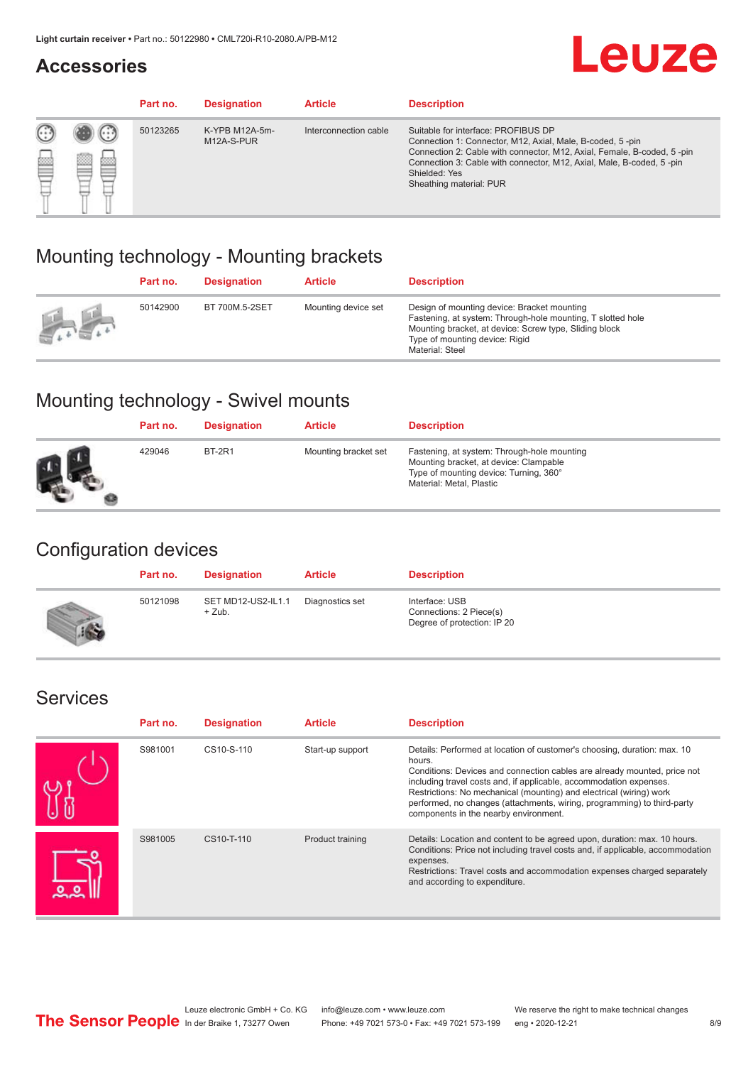#### **Accessories**

## **Leuze**

|   |        | Part no. | <b>Designation</b>           | <b>Article</b>        | <b>Description</b>                                                                                                                                                                                                                                                                             |
|---|--------|----------|------------------------------|-----------------------|------------------------------------------------------------------------------------------------------------------------------------------------------------------------------------------------------------------------------------------------------------------------------------------------|
| 您 | ×<br>一 | 50123265 | K-YPB M12A-5m-<br>M12A-S-PUR | Interconnection cable | Suitable for interface: PROFIBUS DP<br>Connection 1: Connector, M12, Axial, Male, B-coded, 5-pin<br>Connection 2: Cable with connector, M12, Axial, Female, B-coded, 5-pin<br>Connection 3: Cable with connector, M12, Axial, Male, B-coded, 5-pin<br>Shielded: Yes<br>Sheathing material: PUR |

### Mounting technology - Mounting brackets

|                                                 | Part no. | <b>Designation</b> | <b>Article</b>      | <b>Description</b>                                                                                                                                                                                                        |
|-------------------------------------------------|----------|--------------------|---------------------|---------------------------------------------------------------------------------------------------------------------------------------------------------------------------------------------------------------------------|
| $\frac{1}{2} \sum_{n=1}^{\infty} \frac{1}{n^2}$ | 50142900 | BT 700M.5-2SET     | Mounting device set | Design of mounting device: Bracket mounting<br>Fastening, at system: Through-hole mounting, T slotted hole<br>Mounting bracket, at device: Screw type, Sliding block<br>Type of mounting device: Rigid<br>Material: Steel |

### Mounting technology - Swivel mounts

| Part no. | <b>Designation</b> | <b>Article</b>       | <b>Description</b>                                                                                                                                          |
|----------|--------------------|----------------------|-------------------------------------------------------------------------------------------------------------------------------------------------------------|
| 429046   | <b>BT-2R1</b>      | Mounting bracket set | Fastening, at system: Through-hole mounting<br>Mounting bracket, at device: Clampable<br>Type of mounting device: Turning, 360°<br>Material: Metal, Plastic |

### Configuration devices

| Part no. | <b>Designation</b>             | <b>Article</b>  | <b>Description</b>                                                       |
|----------|--------------------------------|-----------------|--------------------------------------------------------------------------|
| 50121098 | SET MD12-US2-IL1.1<br>$+$ Zub. | Diagnostics set | Interface: USB<br>Connections: 2 Piece(s)<br>Degree of protection: IP 20 |

#### Services

| Part no. | <b>Designation</b> | <b>Article</b>   | <b>Description</b>                                                                                                                                                                                                                                                                                                                                                                                                              |
|----------|--------------------|------------------|---------------------------------------------------------------------------------------------------------------------------------------------------------------------------------------------------------------------------------------------------------------------------------------------------------------------------------------------------------------------------------------------------------------------------------|
| S981001  | CS10-S-110         | Start-up support | Details: Performed at location of customer's choosing, duration: max. 10<br>hours.<br>Conditions: Devices and connection cables are already mounted, price not<br>including travel costs and, if applicable, accommodation expenses.<br>Restrictions: No mechanical (mounting) and electrical (wiring) work<br>performed, no changes (attachments, wiring, programming) to third-party<br>components in the nearby environment. |
| S981005  | CS10-T-110         | Product training | Details: Location and content to be agreed upon, duration: max. 10 hours.<br>Conditions: Price not including travel costs and, if applicable, accommodation<br>expenses.<br>Restrictions: Travel costs and accommodation expenses charged separately<br>and according to expenditure.                                                                                                                                           |